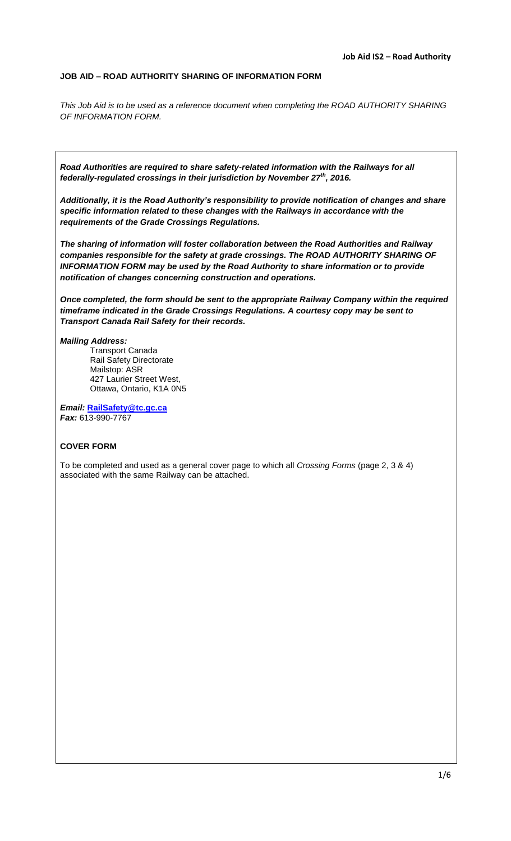#### **JOB AID – ROAD AUTHORITY SHARING OF INFORMATION FORM**

*This Job Aid is to be used as a reference document when completing the ROAD AUTHORITY SHARING OF INFORMATION FORM.*

*Road Authorities are required to share safety-related information with the Railways for all federally-regulated crossings in their jurisdiction by November 27th , 2016.*

*Additionally, it is the Road Authority's responsibility to provide notification of changes and share specific information related to these changes with the Railways in accordance with the requirements of the Grade Crossings Regulations.*

*The sharing of information will foster collaboration between the Road Authorities and Railway companies responsible for the safety at grade crossings. The ROAD AUTHORITY SHARING OF INFORMATION FORM may be used by the Road Authority to share information or to provide notification of changes concerning construction and operations.*

*Once completed, the form should be sent to the appropriate Railway Company within the required timeframe indicated in the Grade Crossings Regulations. A courtesy copy may be sent to Transport Canada Rail Safety for their records.*

#### *Mailing Address:*

Transport Canada Rail Safety Directorate Mailstop: ASR 427 Laurier Street West, Ottawa, Ontario, K1A 0N5

*Email:* **[RailSafety@tc.gc.ca](mailto:railsafety@tc.gc.ca)** *Fax:* 613-990-7767

## **COVER FORM**

To be completed and used as a general cover page to which all *Crossing Forms* (page 2, 3 & 4) associated with the same Railway can be attached.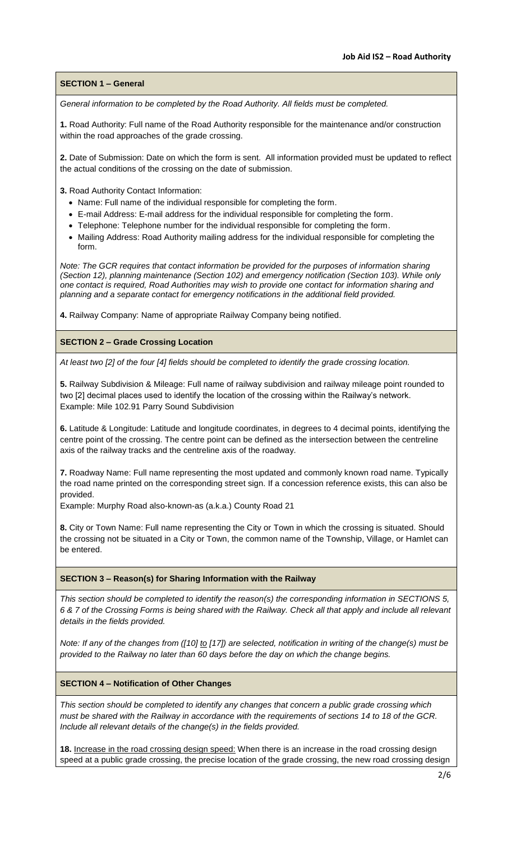## **SECTION 1 – General**

*General information to be completed by the Road Authority. All fields must be completed.*

**1.** Road Authority: Full name of the Road Authority responsible for the maintenance and/or construction within the road approaches of the grade crossing.

**2.** Date of Submission: Date on which the form is sent. All information provided must be updated to reflect the actual conditions of the crossing on the date of submission.

**3.** Road Authority Contact Information:

- Name: Full name of the individual responsible for completing the form.
- E-mail Address: E-mail address for the individual responsible for completing the form.
- Telephone: Telephone number for the individual responsible for completing the form.
- Mailing Address: Road Authority mailing address for the individual responsible for completing the form.

*Note: The GCR requires that contact information be provided for the purposes of information sharing (Section 12), planning maintenance (Section 102) and emergency notification (Section 103). While only one contact is required, Road Authorities may wish to provide one contact for information sharing and planning and a separate contact for emergency notifications in the additional field provided.* 

**4.** Railway Company: Name of appropriate Railway Company being notified.

## **SECTION 2 – Grade Crossing Location**

*At least two [2] of the four [4] fields should be completed to identify the grade crossing location.*

**5.** Railway Subdivision & Mileage: Full name of railway subdivision and railway mileage point rounded to two [2] decimal places used to identify the location of the crossing within the Railway's network. Example: Mile 102.91 Parry Sound Subdivision

**6.** Latitude & Longitude: Latitude and longitude coordinates, in degrees to 4 decimal points, identifying the centre point of the crossing. The centre point can be defined as the intersection between the centreline axis of the railway tracks and the centreline axis of the roadway.

**7.** Roadway Name: Full name representing the most updated and commonly known road name. Typically the road name printed on the corresponding street sign. If a concession reference exists, this can also be provided.

Example: Murphy Road also-known-as (a.k.a.) County Road 21

**8.** City or Town Name: Full name representing the City or Town in which the crossing is situated. Should the crossing not be situated in a City or Town, the common name of the Township, Village, or Hamlet can be entered.

## **SECTION 3 – Reason(s) for Sharing Information with the Railway**

*This section should be completed to identify the reason(s) the corresponding information in SECTIONS 5, 6 & 7 of the Crossing Forms is being shared with the Railway. Check all that apply and include all relevant details in the fields provided.*

*Note: If any of the changes from ([10] to [17]) are selected, notification in writing of the change(s) must be provided to the Railway no later than 60 days before the day on which the change begins.*

## **SECTION 4 – Notification of Other Changes**

*This section should be completed to identify any changes that concern a public grade crossing which must be shared with the Railway in accordance with the requirements of sections 14 to 18 of the GCR. Include all relevant details of the change(s) in the fields provided.*

**18.** Increase in the road crossing design speed: When there is an increase in the road crossing design speed at a public grade crossing, the precise location of the grade crossing, the new road crossing design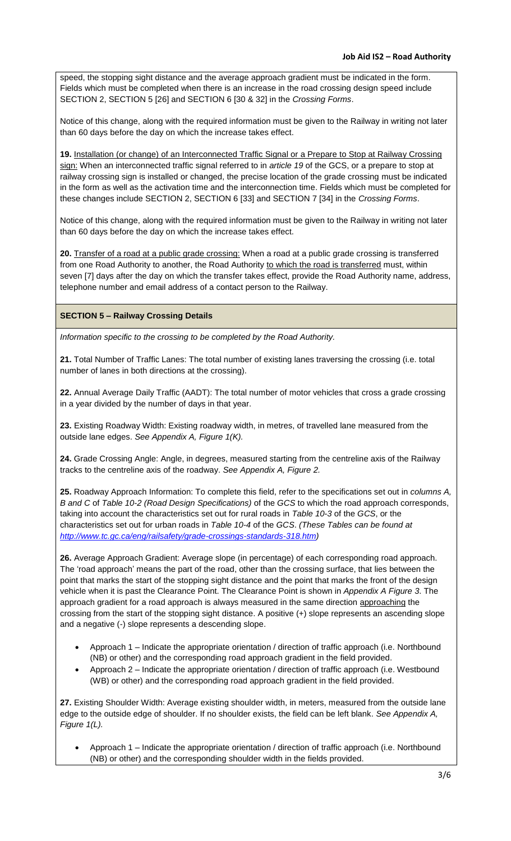speed, the stopping sight distance and the average approach gradient must be indicated in the form. Fields which must be completed when there is an increase in the road crossing design speed include SECTION 2, SECTION 5 [26] and SECTION 6 [30 & 32] in the *Crossing Forms*.

Notice of this change, along with the required information must be given to the Railway in writing not later than 60 days before the day on which the increase takes effect.

**19.** Installation (or change) of an Interconnected Traffic Signal or a Prepare to Stop at Railway Crossing sign: When an interconnected traffic signal referred to in *article 19* of the GCS, or a prepare to stop at railway crossing sign is installed or changed, the precise location of the grade crossing must be indicated in the form as well as the activation time and the interconnection time. Fields which must be completed for these changes include SECTION 2, SECTION 6 [33] and SECTION 7 [34] in the *Crossing Forms*.

Notice of this change, along with the required information must be given to the Railway in writing not later than 60 days before the day on which the increase takes effect.

**20.** Transfer of a road at a public grade crossing: When a road at a public grade crossing is transferred from one Road Authority to another, the Road Authority to which the road is transferred must, within seven [7] days after the day on which the transfer takes effect, provide the Road Authority name, address, telephone number and email address of a contact person to the Railway.

# **SECTION 5 – Railway Crossing Details**

*Information specific to the crossing to be completed by the Road Authority.*

**21.** Total Number of Traffic Lanes: The total number of existing lanes traversing the crossing (i.e. total number of lanes in both directions at the crossing).

**22.** Annual Average Daily Traffic (AADT): The total number of motor vehicles that cross a grade crossing in a year divided by the number of days in that year.

**23.** Existing Roadway Width: Existing roadway width, in metres, of travelled lane measured from the outside lane edges. *See Appendix A, Figure 1(K).*

**24.** Grade Crossing Angle: Angle, in degrees, measured starting from the centreline axis of the Railway tracks to the centreline axis of the roadway. *See Appendix A, Figure 2.*

**25.** Roadway Approach Information: To complete this field, refer to the specifications set out in *columns A, B and C* of *Table 10-2 (Road Design Specifications)* of the *GCS* to which the road approach corresponds, taking into account the characteristics set out for rural roads in *Table 10-3* of the *GCS*, or the characteristics set out for urban roads in *Table 10-4* of the *GCS*. *(These Tables can be found at [http://www.tc.gc.ca/eng/railsafety/grade-crossings-standards-318.htm\)](http://www.tc.gc.ca/eng/railsafety/grade-crossings-standards-318.htm)* 

**26.** Average Approach Gradient: Average slope (in percentage) of each corresponding road approach. The 'road approach' means the part of the road, other than the crossing surface, that lies between the point that marks the start of the stopping sight distance and the point that marks the front of the design vehicle when it is past the Clearance Point. The Clearance Point is shown in *Appendix A Figure 3*. The approach gradient for a road approach is always measured in the same direction approaching the crossing from the start of the stopping sight distance. A positive (+) slope represents an ascending slope and a negative (-) slope represents a descending slope.

- Approach 1 Indicate the appropriate orientation / direction of traffic approach (i.e. Northbound (NB) or other) and the corresponding road approach gradient in the field provided.
- Approach 2 Indicate the appropriate orientation / direction of traffic approach (i.e. Westbound (WB) or other) and the corresponding road approach gradient in the field provided.

**27.** Existing Shoulder Width: Average existing shoulder width, in meters, measured from the outside lane edge to the outside edge of shoulder. If no shoulder exists, the field can be left blank. *See Appendix A, Figure 1(L).*

 Approach 1 – Indicate the appropriate orientation / direction of traffic approach (i.e. Northbound (NB) or other) and the corresponding shoulder width in the fields provided.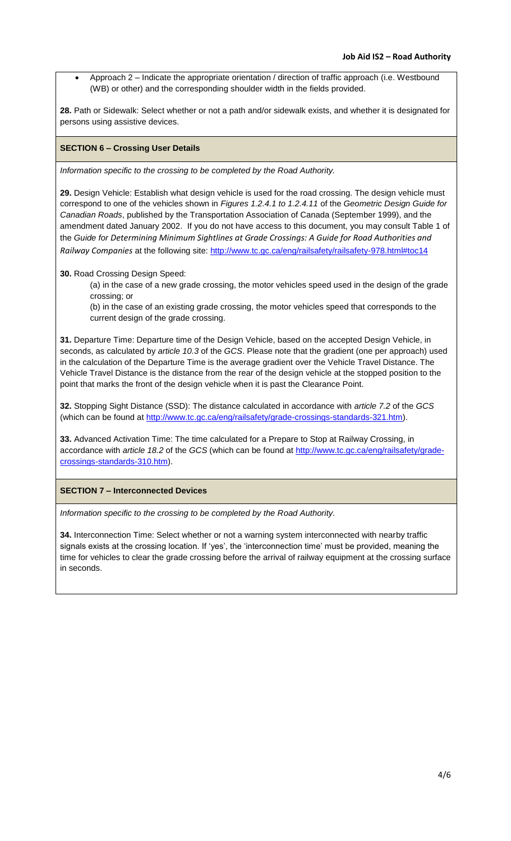Approach 2 – Indicate the appropriate orientation / direction of traffic approach (i.e. Westbound (WB) or other) and the corresponding shoulder width in the fields provided.

**28.** Path or Sidewalk: Select whether or not a path and/or sidewalk exists, and whether it is designated for persons using assistive devices.

## **SECTION 6 – Crossing User Details**

*Information specific to the crossing to be completed by the Road Authority.*

**29.** Design Vehicle: Establish what design vehicle is used for the road crossing. The design vehicle must correspond to one of the vehicles shown in *Figures 1.2.4.1 to 1.2.4.11* of the *Geometric Design Guide for Canadian Roads*, published by the Transportation Association of Canada (September 1999), and the amendment dated January 2002. If you do not have access to this document, you may consult Table 1 of the *Guide for Determining Minimum Sightlines at Grade Crossings: A Guide for Road Authorities and Railway Companies* at the following site:<http://www.tc.gc.ca/eng/railsafety/railsafety-978.html#toc14>

**30.** Road Crossing Design Speed:

(a) in the case of a new grade crossing, the motor vehicles speed used in the design of the grade crossing; or

(b) in the case of an existing grade crossing, the motor vehicles speed that corresponds to the current design of the grade crossing.

**31.** Departure Time: Departure time of the Design Vehicle, based on the accepted Design Vehicle, in seconds, as calculated by *article 10.3* of the *GCS*. Please note that the gradient (one per approach) used in the calculation of the Departure Time is the average gradient over the Vehicle Travel Distance. The Vehicle Travel Distance is the distance from the rear of the design vehicle at the stopped position to the point that marks the front of the design vehicle when it is past the Clearance Point.

**32.** Stopping Sight Distance (SSD): The distance calculated in accordance with *article 7.2* of the *GCS* (which can be found at [http://www.tc.gc.ca/eng/railsafety/grade-crossings-standards-321.htm\)](http://www.tc.gc.ca/eng/railsafety/grade-crossings-standards-321.htm).

**33.** Advanced Activation Time: The time calculated for a Prepare to Stop at Railway Crossing, in accordance with *article 18.2* of the *GCS* (which can be found at [http://www.tc.gc.ca/eng/railsafety/grade](http://www.tc.gc.ca/eng/railsafety/grade-crossings-standards-310.htm)[crossings-standards-310.htm\)](http://www.tc.gc.ca/eng/railsafety/grade-crossings-standards-310.htm).

**SECTION 7 – Interconnected Devices**

*Information specific to the crossing to be completed by the Road Authority.*

**34.** Interconnection Time: Select whether or not a warning system interconnected with nearby traffic signals exists at the crossing location. If 'yes', the 'interconnection time' must be provided, meaning the time for vehicles to clear the grade crossing before the arrival of railway equipment at the crossing surface in seconds.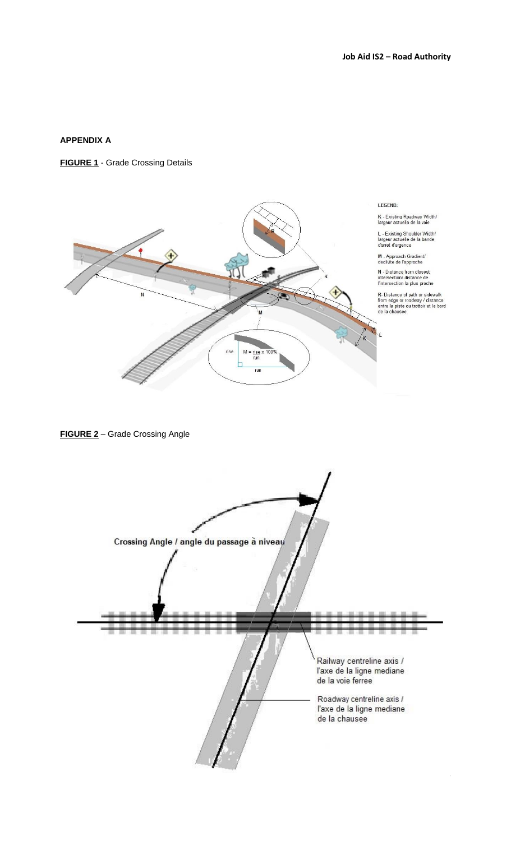# **APPENDIX A**

#### **FIGURE 1** - Grade Crossing Details